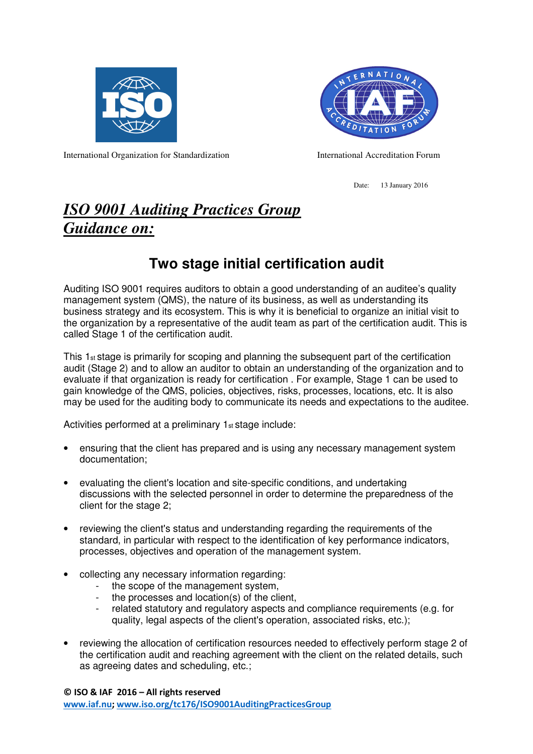



International Organization for Standardization International Accreditation Forum

Date: 13 January 2016

## *ISO 9001 Auditing Practices Group Guidance on:*

## **Two stage initial certification audit**

Auditing ISO 9001 requires auditors to obtain a good understanding of an auditee's quality management system (QMS), the nature of its business, as well as understanding its business strategy and its ecosystem. This is why it is beneficial to organize an initial visit to the organization by a representative of the audit team as part of the certification audit. This is called Stage 1 of the certification audit.

This 1st stage is primarily for scoping and planning the subsequent part of the certification audit (Stage 2) and to allow an auditor to obtain an understanding of the organization and to evaluate if that organization is ready for certification . For example, Stage 1 can be used to gain knowledge of the QMS, policies, objectives, risks, processes, locations, etc. It is also may be used for the auditing body to communicate its needs and expectations to the auditee.

Activities performed at a preliminary 1st stage include:

- ensuring that the client has prepared and is using any necessary management system documentation;
- evaluating the client's location and site-specific conditions, and undertaking discussions with the selected personnel in order to determine the preparedness of the client for the stage 2;
- reviewing the client's status and understanding regarding the requirements of the standard, in particular with respect to the identification of key performance indicators, processes, objectives and operation of the management system.
- collecting any necessary information regarding:
	- the scope of the management system,
	- the processes and location(s) of the client,
	- related statutory and regulatory aspects and compliance requirements (e.g. for quality, legal aspects of the client's operation, associated risks, etc.);
- reviewing the allocation of certification resources needed to effectively perform stage 2 of the certification audit and reaching agreement with the client on the related details, such as agreeing dates and scheduling, etc.;

© ISO & IAF 2016 – All rights reserved www.iaf.nu; www.iso.org/tc176/ISO9001AuditingPracticesGroup